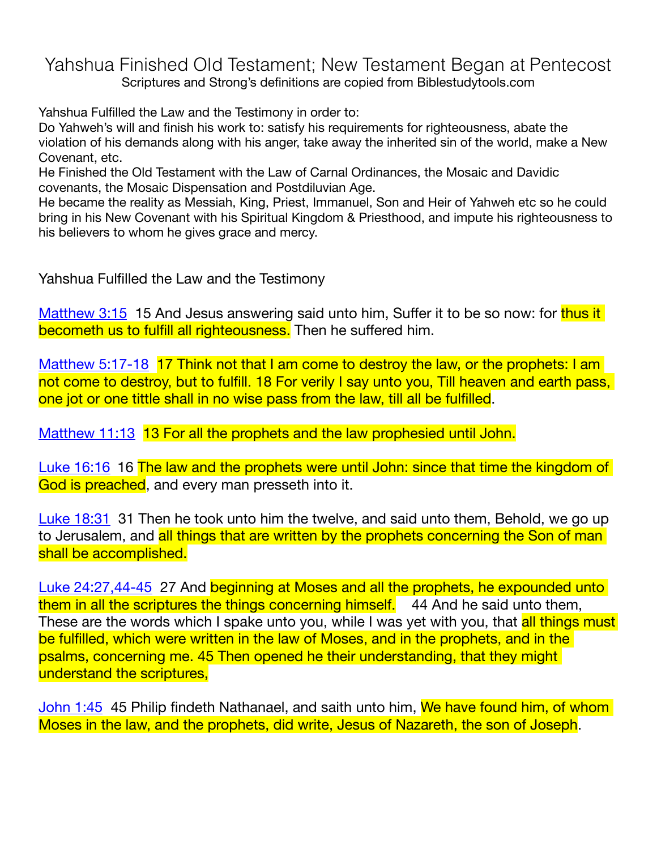Yahshua Finished Old Testament; New Testament Began at Pentecost Scriptures and Strong's definitions are copied from Biblestudytools.com

Yahshua Fulfilled the Law and the Testimony in order to:

Do Yahweh's will and finish his work to: satisfy his requirements for righteousness, abate the violation of his demands along with his anger, take away the inherited sin of the world, make a New Covenant, etc.

He Finished the Old Testament with the Law of Carnal Ordinances, the Mosaic and Davidic covenants, the Mosaic Dispensation and Postdiluvian Age.

He became the reality as Messiah, King, Priest, Immanuel, Son and Heir of Yahweh etc so he could bring in his New Covenant with his Spiritual Kingdom & Priesthood, and impute his righteousness to his believers to whom he gives grace and mercy.

Yahshua Fulfilled the Law and the Testimony

[Matthew 3:15](http://www.biblestudytools.com/kjv/matthew/3-15.html) 15 And Jesus answering said unto him, Suffer it to be so now: for thus it becometh us to fulfill all righteousness. Then he suffered him.

[Matthew 5:17-18](http://www.biblestudytools.com/kjv/matthew/passage.aspx?q=matthew+5:17-18) 17 Think not that I am come to destroy the law, or the prophets: I am not come to destroy, but to fulfill. 18 For verily I say unto you, Till heaven and earth pass, one jot or one tittle shall in no wise pass from the law, till all be fulfilled.

[Matthew 11:13](http://www.biblestudytools.com/kjv/matthew/11-13.html) 13 For all the prophets and the law prophesied until John.

[Luke 16:16](http://www.biblestudytools.com/kjv/luke/16-16.html) 16 The law and the prophets were until John: since that time the kingdom of God is preached, and every man presseth into it.

[Luke 18:31](http://www.biblestudytools.com/kjv/luke/18-31.html) 31 Then he took unto him the twelve, and said unto them, Behold, we go up to Jerusalem, and all things that are written by the prophets concerning the Son of man shall be accomplished.

[Luke 24:27](http://www.biblestudytools.com/kjv/luke/24-27.html)[,44-45](http://www.biblestudytools.com/kjv/luke/passage.aspx?q=luke+24:44-45) 27 And beginning at Moses and all the prophets, he expounded unto them in all the scriptures the things concerning himself. 44 And he said unto them, These are the words which I spake unto you, while I was yet with you, that <mark>all things must</mark> be fulfilled, which were written in the law of Moses, and in the prophets, and in the psalms, concerning me. 45 Then opened he their understanding, that they might understand the scriptures,

[John 1:45](http://www.biblestudytools.com/kjv/john/1-45.html) 45 Philip findeth Nathanael, and saith unto him, We have found him, of whom Moses in the law, and the prophets, did write, Jesus of Nazareth, the son of Joseph.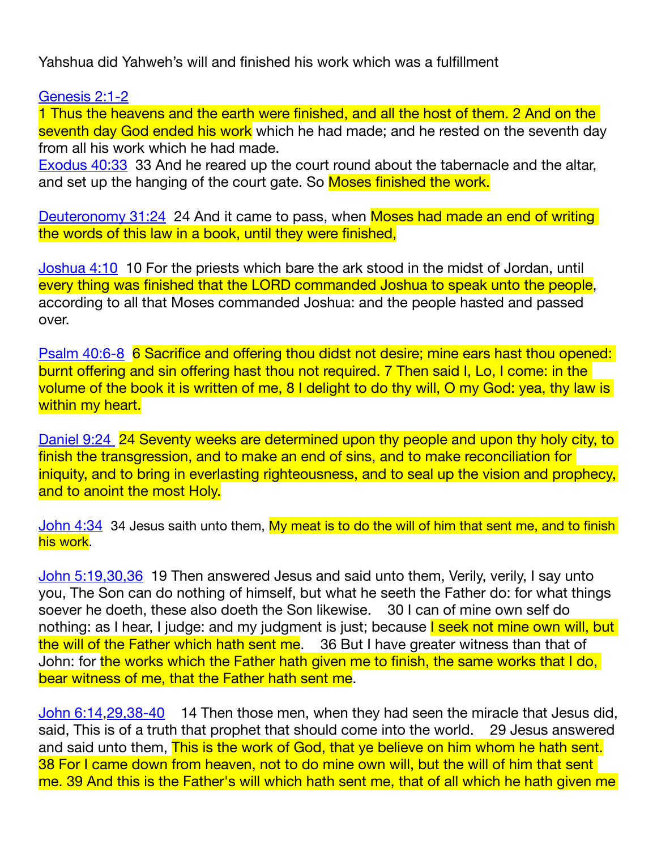Yahshua did Yahweh's will and finished his work which was a fulfillment

[Genesis 2:1-2](http://www.biblestudytools.com/kjv/genesis/passage.aspx?q=genesis+2:1-2)

1 Thus the heavens and the earth were finished, and all the host of them. 2 And on the seventh day God ended his work which he had made; and he rested on the seventh day from all his work which he had made.

[Exodus 40:33](http://www.biblestudytools.com/kjv/exodus/40-33.html) 33 And he reared up the court round about the tabernacle and the altar, and set up the hanging of the court gate. So Moses finished the work.

[Deuteronomy 31:24](http://www.biblestudytools.com/kjv/deuteronomy/31-24.html) 24 And it came to pass, when Moses had made an end of writing the words of this law in a book, until they were finished,

[Joshua 4:10](http://www.biblestudytools.com/kjv/joshua/4-10.html) 10 For the priests which bare the ark stood in the midst of Jordan, until every thing was finished that the LORD commanded Joshua to speak unto the people, according to all that Moses commanded Joshua: and the people hasted and passed over.

[Psalm 40:6-8](http://www.biblestudytools.com/kjv/psalms/passage.aspx?q=psalms+40:6-8) 6 Sacrifice and offering thou didst not desire; mine ears hast thou opened: burnt offering and sin offering hast thou not required. 7 Then said I, Lo, I come: in the volume of the book it is written of me, 8 I delight to do thy will, O my God: yea, thy law is within my heart.

[Daniel 9:24](http://www.biblestudytools.com/kjv/daniel/9-24.html) 24 Seventy weeks are determined upon thy people and upon thy holy city, to finish the transgression, and to make an end of sins, and to make reconciliation for iniquity, and to bring in everlasting righteousness, and to seal up the vision and prophecy, and to anoint the most Holy.

[John 4:34](http://www.biblestudytools.com/kjv/john/4-34.html) 34 Jesus saith unto them, My meat is to do the will of him that sent me, and to finish his work.

[John 5:19](http://www.biblestudytools.com/kjv/john/5-19.html)[,30](http://www.biblestudytools.com/kjv/john/5-30.html)[,36](http://www.biblestudytools.com/kjv/john/5-36.html) 19 Then answered Jesus and said unto them, Verily, verily, I say unto you, The Son can do nothing of himself, but what he seeth the Father do: for what things soever he doeth, these also doeth the Son likewise. 30 I can of mine own self do nothing: as I hear, I judge: and my judgment is just; because I seek not mine own will, but the will of the Father which hath sent me. 36 But I have greater witness than that of John: for the works which the Father hath given me to finish, the same works that I do, bear witness of me, that the Father hath sent me.

[John 6:14,](http://www.biblestudytools.com/kjv/john/6-14.html)[29](http://www.biblestudytools.com/kjv/john/6-29.html)[,38-40](http://www.biblestudytools.com/kjv/john/passage.aspx?q=john+6:38-40) 14 Then those men, when they had seen the miracle that Jesus did, said, This is of a truth that prophet that should come into the world. 29 Jesus answered and said unto them, This is the work of God, that ye believe on him whom he hath sent. 38 For I came down from heaven, not to do mine own will, but the will of him that sent me. 39 And this is the Father's will which hath sent me, that of all which he hath given me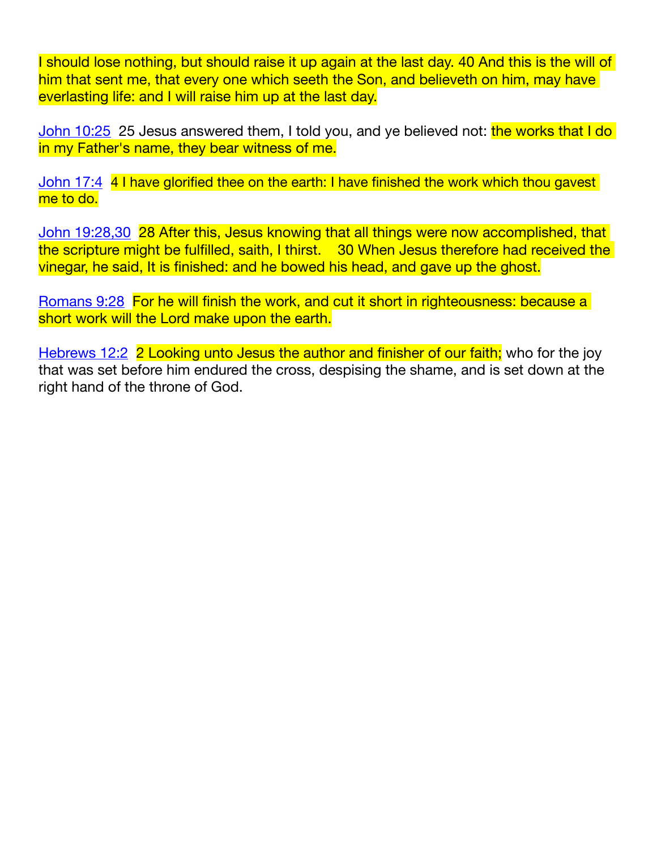I should lose nothing, but should raise it up again at the last day. 40 And this is the will of him that sent me, that every one which seeth the Son, and believeth on him, may have everlasting life: and I will raise him up at the last day.

[John 10:25](http://www.biblestudytools.com/kjv/john/10-25.html) 25 Jesus answered them, I told you, and ye believed not: the works that I do in my Father's name, they bear witness of me.

[John 17:4](http://www.biblestudytools.com/kjv/john/17-4.html) 4 I have glorified thee on the earth: I have finished the work which thou gavest me to do.

[John 19:28](http://www.biblestudytools.com/kjv/john/19-28.html)[,30](http://www.biblestudytools.com/kjv/john/19-30.html) 28 After this, Jesus knowing that all things were now accomplished, that the scripture might be fulfilled, saith, I thirst. 30 When Jesus therefore had received the vinegar, he said, It is finished: and he bowed his head, and gave up the ghost.

[Romans 9:28](http://www.biblestudytools.com/kjv/romans/9-28.html) For he will finish the work, and cut it short in righteousness: because a short work will the Lord make upon the earth.

[Hebrews 12:2](http://www.biblestudytools.com/kjv/hebrews/12-2.html) 2 Looking unto Jesus the author and finisher of our faith; who for the joy that was set before him endured the cross, despising the shame, and is set down at the right hand of the throne of God.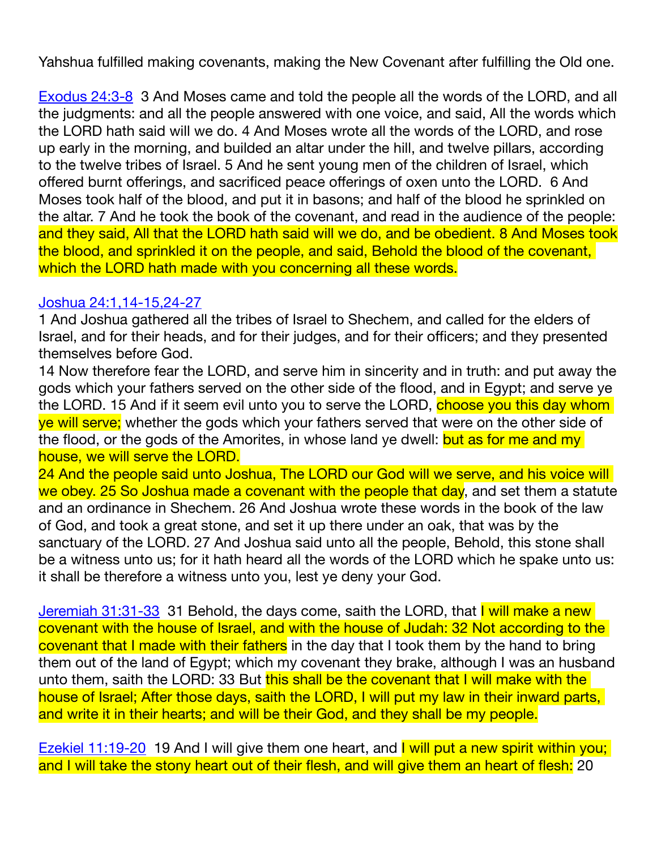Yahshua fulfilled making covenants, making the New Covenant after fulfilling the Old one.

[Exodus 24:3-8](http://www.biblestudytools.com/kjv/exodus/passage.aspx?q=exodus+24:6-8) 3 And Moses came and told the people all the words of the LORD, and all the judgments: and all the people answered with one voice, and said, All the words which the LORD hath said will we do. 4 And Moses wrote all the words of the LORD, and rose up early in the morning, and builded an altar under the hill, and twelve pillars, according to the twelve tribes of Israel. 5 And he sent young men of the children of Israel, which offered burnt offerings, and sacrificed peace offerings of oxen unto the LORD. 6 And Moses took half of the blood, and put it in basons; and half of the blood he sprinkled on the altar. 7 And he took the book of the covenant, and read in the audience of the people: and they said, All that the LORD hath said will we do, and be obedient. 8 And Moses took the blood, and sprinkled it on the people, and said, Behold the blood of the covenant, which the LORD hath made with you concerning all these words.

## [Joshua 24:1](http://www.biblestudytools.com/kjv/joshua/24-1.html)[,14-15](http://www.biblestudytools.com/kjv/joshua/passage.aspx?q=joshua+24:14-15)[,24-27](http://www.biblestudytools.com/kjv/joshua/passage.aspx?q=joshua+24:24-27)

1 And Joshua gathered all the tribes of Israel to Shechem, and called for the elders of Israel, and for their heads, and for their judges, and for their officers; and they presented themselves before God.

14 Now therefore fear the LORD, and serve him in sincerity and in truth: and put away the gods which your fathers served on the other side of the flood, and in Egypt; and serve ye the LORD. 15 And if it seem evil unto you to serve the LORD, choose you this day whom ye will serve; whether the gods which your fathers served that were on the other side of the flood, or the gods of the Amorites, in whose land ye dwell: but as for me and my house, we will serve the LORD.

24 And the people said unto Joshua, The LORD our God will we serve, and his voice will we obey. 25 So Joshua made a covenant with the people that day, and set them a statute and an ordinance in Shechem. 26 And Joshua wrote these words in the book of the law of God, and took a great stone, and set it up there under an oak, that was by the sanctuary of the LORD. 27 And Joshua said unto all the people, Behold, this stone shall be a witness unto us; for it hath heard all the words of the LORD which he spake unto us: it shall be therefore a witness unto you, lest ye deny your God.

[Jeremiah 31:31-33](http://www.biblestudytools.com/kjv/jeremiah/passage.aspx?q=jeremiah+31:31-33) 31 Behold, the days come, saith the LORD, that I will make a new covenant with the house of Israel, and with the house of Judah: 32 Not according to the covenant that I made with their fathers in the day that I took them by the hand to bring them out of the land of Egypt; which my covenant they brake, although I was an husband unto them, saith the LORD: 33 But this shall be the covenant that I will make with the house of Israel; After those days, saith the LORD, I will put my law in their inward parts, and write it in their hearts; and will be their God, and they shall be my people.

[Ezekiel 11:19-20](http://www.biblestudytools.com/kjv/ezekiel/passage.aspx?q=ezekiel+11:19-20) 19 And I will give them one heart, and I will put a new spirit within you; and I will take the stony heart out of their flesh, and will give them an heart of flesh: 20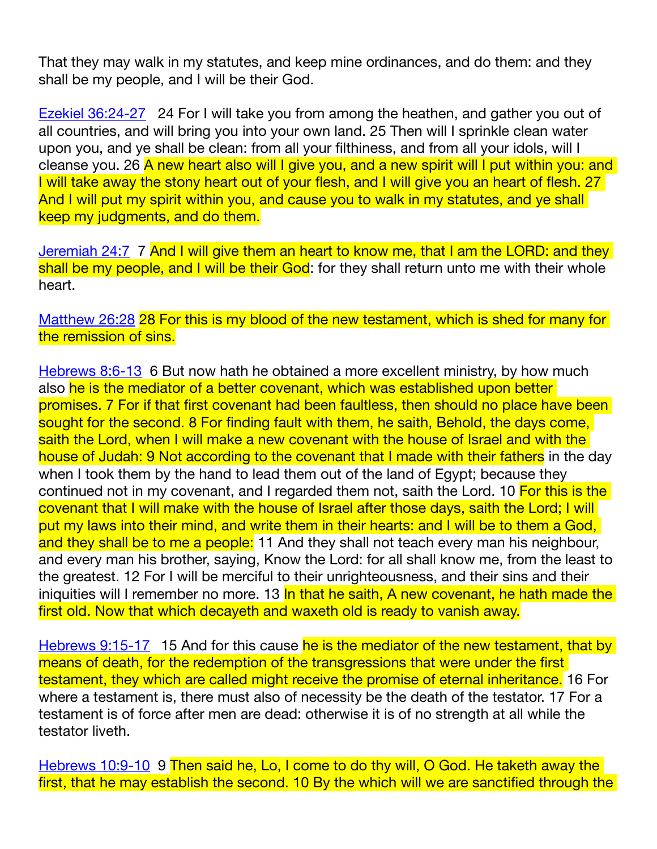That they may walk in my statutes, and keep mine ordinances, and do them: and they shall be my people, and I will be their God.

[Ezekiel 36:24-27](http://www.biblestudytools.com/kjv/ezekiel/36-24.html) 24 For I will take you from among the heathen, and gather you out of all countries, and will bring you into your own land. 25 Then will I sprinkle clean water upon you, and ye shall be clean: from all your filthiness, and from all your idols, will I cleanse you. 26 A new heart also will I give you, and a new spirit will I put within you: and I will take away the stony heart out of your flesh, and I will give you an heart of flesh. 27 And I will put my spirit within you, and cause you to walk in my statutes, and ye shall keep my judgments, and do them.

[Jeremiah 24:7](http://www.biblestudytools.com/kjv/jeremiah/24-7.html) 7 And I will give them an heart to know me, that I am the LORD: and they shall be my people, and I will be their God: for they shall return unto me with their whole heart.

[Matthew 26:28](http://www.biblestudytools.com/kjv/matthew/26-28.html) 28 For this is my blood of the new testament, which is shed for many for the remission of sins.

[Hebrews 8:6-13](http://www.biblestudytools.com/kjv/hebrews/passage.aspx?q=hebrews+8:6-13) 6 But now hath he obtained a more excellent ministry, by how much also he is the mediator of a better covenant, which was established upon better promises. 7 For if that first covenant had been faultless, then should no place have been sought for the second. 8 For finding fault with them, he saith, Behold, the days come, saith the Lord, when I will make a new covenant with the house of Israel and with the house of Judah: 9 Not according to the covenant that I made with their fathers in the day when I took them by the hand to lead them out of the land of Egypt; because they continued not in my covenant, and I regarded them not, saith the Lord. 10 For this is the covenant that I will make with the house of Israel after those days, saith the Lord; I will put my laws into their mind, and write them in their hearts: and I will be to them a God, and they shall be to me a people: 11 And they shall not teach every man his neighbour, and every man his brother, saying, Know the Lord: for all shall know me, from the least to the greatest. 12 For I will be merciful to their unrighteousness, and their sins and their iniquities will I remember no more. 13 In that he saith, A new covenant, he hath made the first old. Now that which decayeth and waxeth old is ready to vanish away.

[Hebrews 9:15-17](http://www.biblestudytools.com/kjv/hebrews/passage.aspx?q=hebrews+9:15-17) 15 And for this cause he is the mediator of the new testament, that by means of death, for the redemption of the transgressions that were under the first testament, they which are called might receive the promise of eternal inheritance. 16 For where a testament is, there must also of necessity be the death of the testator. 17 For a testament is of force after men are dead: otherwise it is of no strength at all while the testator liveth.

[Hebrews 10:9-10](http://www.biblestudytools.com/kjv/hebrews/passage.aspx?q=hebrews+10:9-10) 9 Then said he, Lo, I come to do thy will, O God. He taketh away the first, that he may establish the second. 10 By the which will we are sanctified through the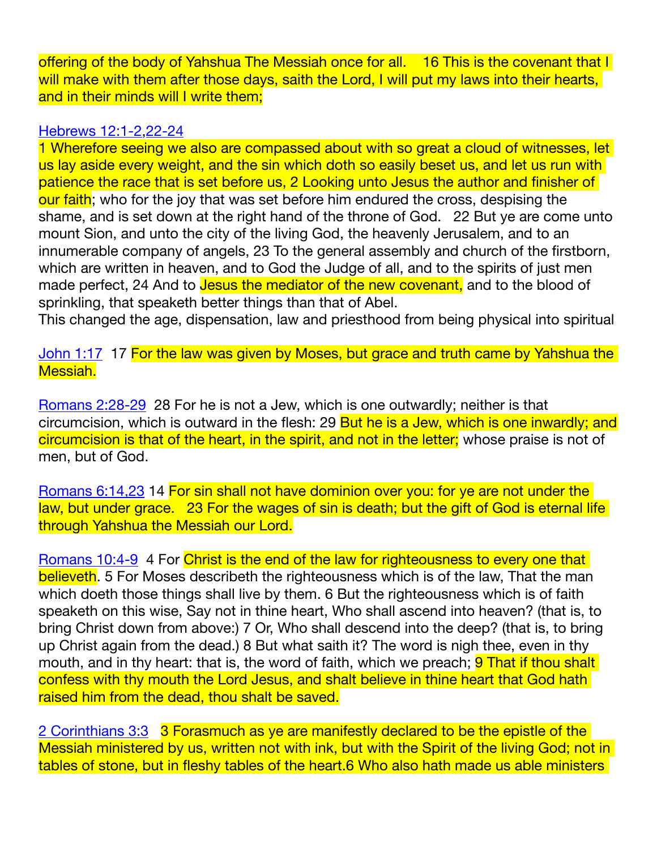offering of the body of Yahshua The Messiah once for all. 16 This is the covenant that I will make with them after those days, saith the Lord, I will put my laws into their hearts, and in their minds will I write them;

## [Hebrews 12:1-2](http://www.biblestudytools.com/kjv/hebrews/passage.aspx?q=hebrews+12:1-2)[,22-24](http://www.biblestudytools.com/kjv/hebrews/passage.aspx?q=hebrews+12:22-24)

1 Wherefore seeing we also are compassed about with so great a cloud of witnesses, let us lay aside every weight, and the sin which doth so easily beset us, and let us run with patience the race that is set before us, 2 Looking unto Jesus the author and finisher of our faith; who for the joy that was set before him endured the cross, despising the shame, and is set down at the right hand of the throne of God. 22 But ye are come unto mount Sion, and unto the city of the living God, the heavenly Jerusalem, and to an innumerable company of angels, 23 To the general assembly and church of the firstborn, which are written in heaven, and to God the Judge of all, and to the spirits of just men made perfect, 24 And to **Jesus the mediator of the new covenant**, and to the blood of sprinkling, that speaketh better things than that of Abel.

This changed the age, dispensation, law and priesthood from being physical into spiritual

[John 1:17](http://www.biblestudytools.com/kjv/john/1-17.html) 17 For the law was given by Moses, but grace and truth came by Yahshua the Messiah.

[Romans 2:28-29](http://www.biblestudytools.com/kjv/romans/passage.aspx?q=romans+2:28-29) 28 For he is not a Jew, which is one outwardly; neither is that circumcision, which is outward in the flesh: 29 But he is a Jew, which is one inwardly; and circumcision is that of the heart, in the spirit, and not in the letter; whose praise is not of men, but of God.

[Romans 6:14,23](http://www.biblestudytools.com/kjv/romans/6-14.html) 14 For sin shall not have dominion over you: for ye are not under the law, but under grace. 23 For the wages of sin is death; but the gift of God is eternal life through Yahshua the Messiah our Lord.

[Romans 10:4-9](http://www.biblestudytools.com/kjv/romans/passage.aspx?q=romans+10:4-9) 4 For Christ is the end of the law for righteousness to every one that believeth. 5 For Moses describeth the righteousness which is of the law, That the man which doeth those things shall live by them. 6 But the righteousness which is of faith speaketh on this wise, Say not in thine heart, Who shall ascend into heaven? (that is, to bring Christ down from above:) 7 Or, Who shall descend into the deep? (that is, to bring up Christ again from the dead.) 8 But what saith it? The word is nigh thee, even in thy mouth, and in thy heart: that is, the word of faith, which we preach; **9 That if thou shalt** confess with thy mouth the Lord Jesus, and shalt believe in thine heart that God hath raised him from the dead, thou shalt be saved.

[2 Corinthians 3:3](http://www.biblestudytools.com/kjv/2-corinthians/3-3.html) 3 Forasmuch as ye are manifestly declared to be the epistle of the Messiah ministered by us, written not with ink, but with the Spirit of the living God; not in tables of stone, but in fleshy tables of the heart.6 Who also hath made us able ministers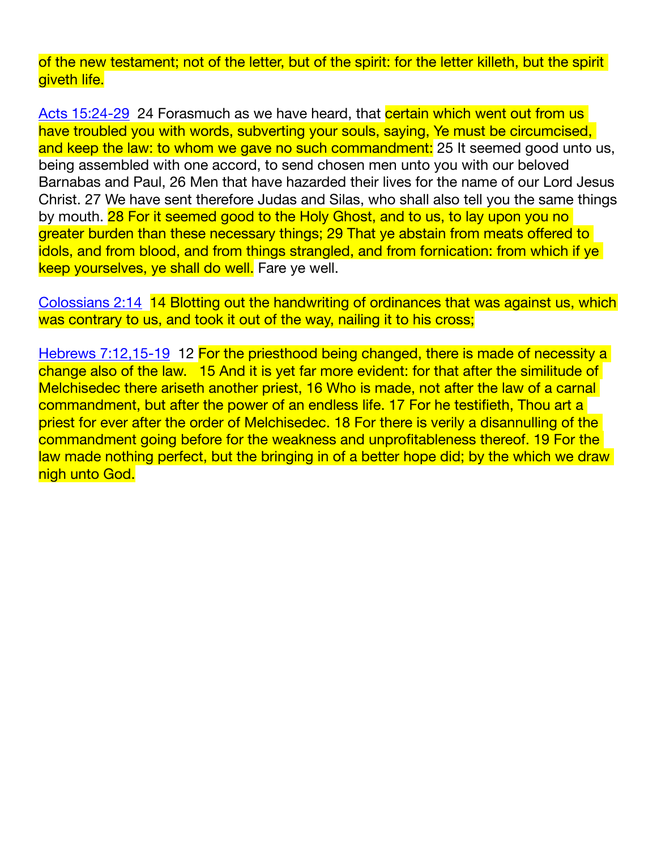of the new testament; not of the letter, but of the spirit: for the letter killeth, but the spirit giveth life.

[Acts 15:24-29](http://www.biblestudytools.com/kjv/acts/passage.aspx?q=acts+15:24-29) 24 Forasmuch as we have heard, that certain which went out from us have troubled you with words, subverting your souls, saying, Ye must be circumcised, and keep the law: to whom we gave no such commandment: 25 It seemed good unto us, being assembled with one accord, to send chosen men unto you with our beloved Barnabas and Paul, 26 Men that have hazarded their lives for the name of our Lord Jesus Christ. 27 We have sent therefore Judas and Silas, who shall also tell you the same things by mouth. 28 For it seemed good to the Holy Ghost, and to us, to lay upon you no greater burden than these necessary things; 29 That ye abstain from meats offered to idols, and from blood, and from things strangled, and from fornication: from which if ye keep yourselves, ye shall do well. Fare ye well.

[Colossians 2:14](http://www.biblestudytools.com/kjv/colossians/2-14.html) 14 Blotting out the handwriting of ordinances that was against us, which was contrary to us, and took it out of the way, nailing it to his cross;

[Hebrews 7:12,15-19](http://www.biblestudytools.com/kjv/hebrews/7-12.html) 12 For the priesthood being changed, there is made of necessity a change also of the law. 15 And it is yet far more evident: for that after the similitude of Melchisedec there ariseth another priest, 16 Who is made, not after the law of a carnal commandment, but after the power of an endless life. 17 For he testifieth, Thou art a priest for ever after the order of Melchisedec. 18 For there is verily a disannulling of the commandment going before for the weakness and unprofitableness thereof. 19 For the law made nothing perfect, but the bringing in of a better hope did; by the which we draw nigh unto God.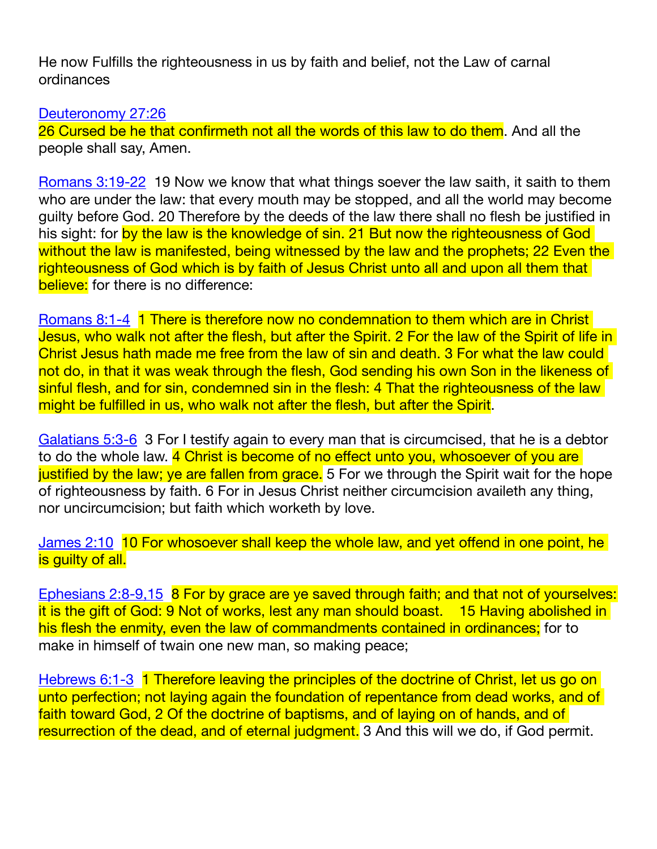He now Fulfills the righteousness in us by faith and belief, not the Law of carnal ordinances

[Deuteronomy 27:26](http://www.biblestudytools.com/kjv/deuteronomy/27-26.html)

26 Cursed be he that confirmeth not all the words of this law to do them. And all the people shall say, Amen.

[Romans 3:19-22](http://www.biblestudytools.com/kjv/romans/passage.aspx?q=romans+3:19-22) 19 Now we know that what things soever the law saith, it saith to them who are under the law: that every mouth may be stopped, and all the world may become guilty before God. 20 Therefore by the deeds of the law there shall no flesh be justified in his sight: for by the law is the knowledge of sin. 21 But now the righteousness of God without the law is manifested, being witnessed by the law and the prophets; 22 Even the righteousness of God which is by faith of Jesus Christ unto all and upon all them that believe: for there is no difference:

[Romans 8:1-4](http://www.biblestudytools.com/kjv/romans/passage.aspx?q=romans+8:1-4) 1 There is therefore now no condemnation to them which are in Christ Jesus, who walk not after the flesh, but after the Spirit. 2 For the law of the Spirit of life in Christ Jesus hath made me free from the law of sin and death. 3 For what the law could not do, in that it was weak through the flesh, God sending his own Son in the likeness of sinful flesh, and for sin, condemned sin in the flesh: 4 That the righteousness of the law might be fulfilled in us, who walk not after the flesh, but after the Spirit.

[Galatians 5:3-6](http://www.biblestudytools.com/kjv/galatians/passage.aspx?q=galatians+5:3-6) 3 For I testify again to every man that is circumcised, that he is a debtor to do the whole law. 4 Christ is become of no effect unto you, whosoever of you are justified by the law; ye are fallen from grace. 5 For we through the Spirit wait for the hope of righteousness by faith. 6 For in Jesus Christ neither circumcision availeth any thing, nor uncircumcision; but faith which worketh by love.

[James 2:10](http://www.biblestudytools.com/kjv/james/2-10.html) 10 For whosoever shall keep the whole law, and yet offend in one point, he is guilty of all.

[Ephesians 2:8-9](http://www.biblestudytools.com/kjv/ephesians/passage.aspx?q=ephesians+2:8-9)[,15](http://www.biblestudytools.com/kjv/ephesians/2-15.html) 8 For by grace are ye saved through faith; and that not of yourselves: it is the gift of God: 9 Not of works, lest any man should boast. 15 Having abolished in his flesh the enmity, even the law of commandments contained in ordinances; for to make in himself of twain one new man, so making peace;

[Hebrews 6:1-3](http://www.biblestudytools.com/kjv/hebrews/passage.aspx?q=hebrews+6:1-3) 1 Therefore leaving the principles of the doctrine of Christ, let us go on unto perfection; not laying again the foundation of repentance from dead works, and of faith toward God, 2 Of the doctrine of baptisms, and of laying on of hands, and of resurrection of the dead, and of eternal judgment. 3 And this will we do, if God permit.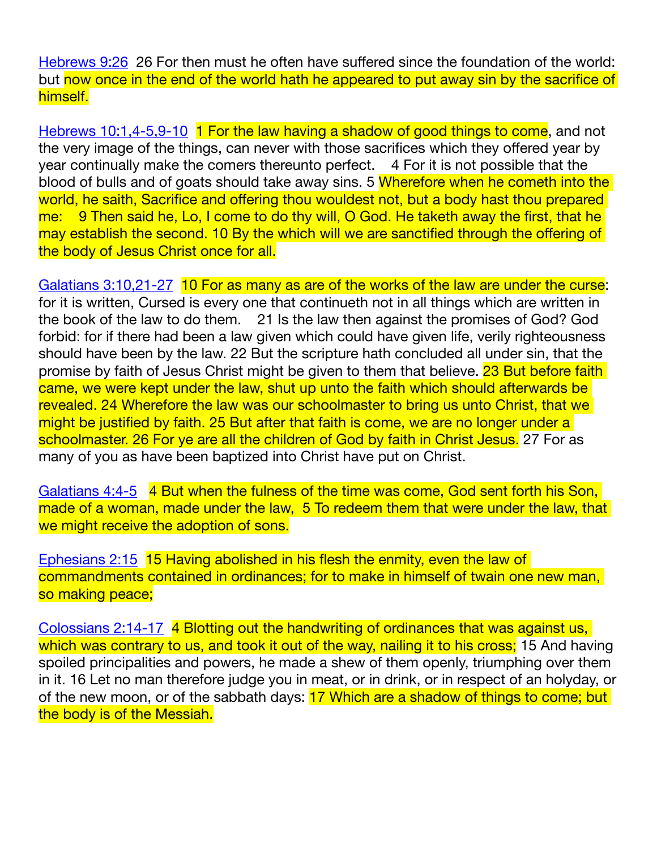[Hebrews 9:26](http://www.biblestudytools.com/kjv/hebrews/9-26.html) 26 For then must he often have suffered since the foundation of the world: but now once in the end of the world hath he appeared to put away sin by the sacrifice of himself.

[Hebrews 10:1](http://www.biblestudytools.com/kjv/hebrews/10-1.html)[,4-5](http://www.biblestudytools.com/kjv/hebrews/passage.aspx?q=hebrews+10:4-5)[,9-10](http://www.biblestudytools.com/kjv/hebrews/passage.aspx?q=hebrews+10:9-10) 1 For the law having a shadow of good things to come, and not the very image of the things, can never with those sacrifices which they offered year by year continually make the comers thereunto perfect. 4 For it is not possible that the blood of bulls and of goats should take away sins. 5 Wherefore when he cometh into the world, he saith, Sacrifice and offering thou wouldest not, but a body hast thou prepared me: 9 Then said he, Lo, I come to do thy will, O God. He taketh away the first, that he may establish the second. 10 By the which will we are sanctified through the offering of the body of Jesus Christ once for all.

[Galatians 3:10](http://www.biblestudytools.com/kjv/galatians/3-10.html)[,21-27](http://www.biblestudytools.com/kjv/galatians/passage.aspx?q=galatians+3:21-27) 10 For as many as are of the works of the law are under the curse: for it is written, Cursed is every one that continueth not in all things which are written in the book of the law to do them. 21 Is the law then against the promises of God? God forbid: for if there had been a law given which could have given life, verily righteousness should have been by the law. 22 But the scripture hath concluded all under sin, that the promise by faith of Jesus Christ might be given to them that believe. 23 But before faith came, we were kept under the law, shut up unto the faith which should afterwards be revealed. 24 Wherefore the law was our schoolmaster to bring us unto Christ, that we might be justified by faith. 25 But after that faith is come, we are no longer under a schoolmaster. 26 For ye are all the children of God by faith in Christ Jesus. 27 For as many of you as have been baptized into Christ have put on Christ.

[Galatians 4:4-5](http://www.biblestudytools.com/kjv/galatians/passage.aspx?q=galatians+4:4-5) 4 But when the fulness of the time was come, God sent forth his Son, made of a woman, made under the law, 5 To redeem them that were under the law, that we might receive the adoption of sons.

[Ephesians 2:15](http://www.biblestudytools.com/kjv/ephesians/2-15.html) 15 Having abolished in his flesh the enmity, even the law of commandments contained in ordinances; for to make in himself of twain one new man, so making peace;

[Colossians 2:14-17](http://www.biblestudytools.com/kjv/colossians/passage.aspx?q=colossians+2:14-17) 4 Blotting out the handwriting of ordinances that was against us, which was contrary to us, and took it out of the way, nailing it to his cross; 15 And having spoiled principalities and powers, he made a shew of them openly, triumphing over them in it. 16 Let no man therefore judge you in meat, or in drink, or in respect of an holyday, or of the new moon, or of the sabbath days: 17 Which are a shadow of things to come; but the body is of the Messiah.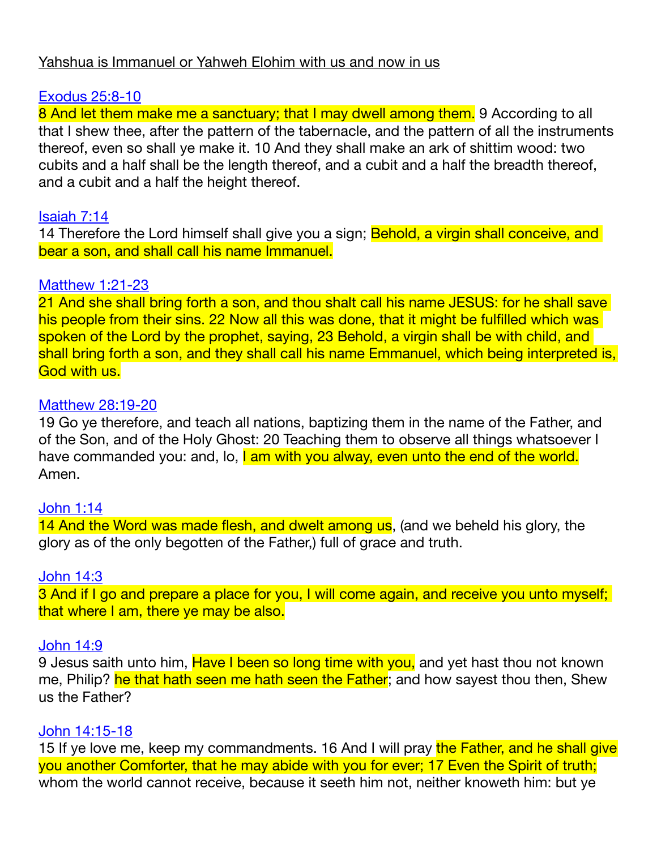## Yahshua is Immanuel or Yahweh Elohim with us and now in us

# [Exodus 25:8-10](http://www.biblestudytools.com/kjv/exodus/passage.aspx?q=exodus+25:8-10)

8 And let them make me a sanctuary; that I may dwell among them. 9 According to all that I shew thee, after the pattern of the tabernacle, and the pattern of all the instruments thereof, even so shall ye make it. 10 And they shall make an ark of shittim wood: two cubits and a half shall be the length thereof, and a cubit and a half the breadth thereof, and a cubit and a half the height thereof.

## [Isaiah 7:14](http://www.biblestudytools.com/kjv/isaiah/7-14.html)

14 Therefore the Lord himself shall give you a sign; Behold, a virgin shall conceive, and bear a son, and shall call his name Immanuel.

## [Matthew 1:21-23](http://www.biblestudytools.com/kjv/matthew/passage.aspx?q=matthew+1:21-23)

21 And she shall bring forth a son, and thou shalt call his name JESUS: for he shall save his people from their sins. 22 Now all this was done, that it might be fulfilled which was spoken of the Lord by the prophet, saying, 23 Behold, a virgin shall be with child, and shall bring forth a son, and they shall call his name Emmanuel, which being interpreted is, God with us.

## [Matthew 28:19-20](http://www.biblestudytools.com/kjv/matthew/passage.aspx?q=matthew+28:19-20)

19 Go ye therefore, and teach all nations, baptizing them in the name of the Father, and of the Son, and of the Holy Ghost: 20 Teaching them to observe all things whatsoever I have commanded you: and, lo, I am with you alway, even unto the end of the world. Amen.

## [John 1:14](http://www.biblestudytools.com/kjv/john/1-14.html)

14 And the Word was made flesh, and dwelt among us, (and we beheld his glory, the glory as of the only begotten of the Father,) full of grace and truth.

#### [John 14:3](http://www.biblestudytools.com/kjv/john/14-3.html)

3 And if I go and prepare a place for you, I will come again, and receive you unto myself; that where I am, there ye may be also.

#### [John 14:9](http://www.biblestudytools.com/kjv/john/14-9.html)

9 Jesus saith unto him, Have I been so long time with you, and yet hast thou not known me, Philip? he that hath seen me hath seen the Father; and how sayest thou then, Shew us the Father?

#### [John 14:15-18](http://www.biblestudytools.com/kjv/john/passage.aspx?q=john+14:15-18)

15 If ye love me, keep my commandments. 16 And I will pray the Father, and he shall give you another Comforter, that he may abide with you for ever; 17 Even the Spirit of truth; whom the world cannot receive, because it seeth him not, neither knoweth him: but ye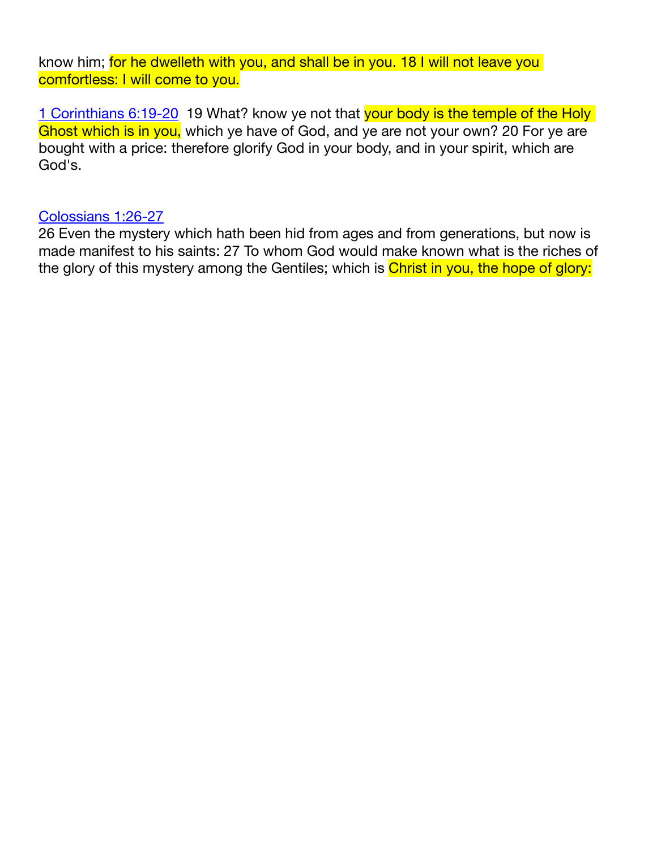know him; for he dwelleth with you, and shall be in you. 18 I will not leave you comfortless: I will come to you.

[1 Corinthians 6:19-20](http://www.biblestudytools.com/kjv/1-corinthians/passage.aspx?q=1-corinthians+6:19-20) 19 What? know ye not that your body is the temple of the Holy Ghost which is in you, which ye have of God, and ye are not your own? 20 For ye are bought with a price: therefore glorify God in your body, and in your spirit, which are God's.

## [Colossians 1:26-27](http://www.biblestudytools.com/kjv/colossians/passage.aspx?q=colossians+1:26-27)

26 Even the mystery which hath been hid from ages and from generations, but now is made manifest to his saints: 27 To whom God would make known what is the riches of the glory of this mystery among the Gentiles; which is Christ in you, the hope of glory: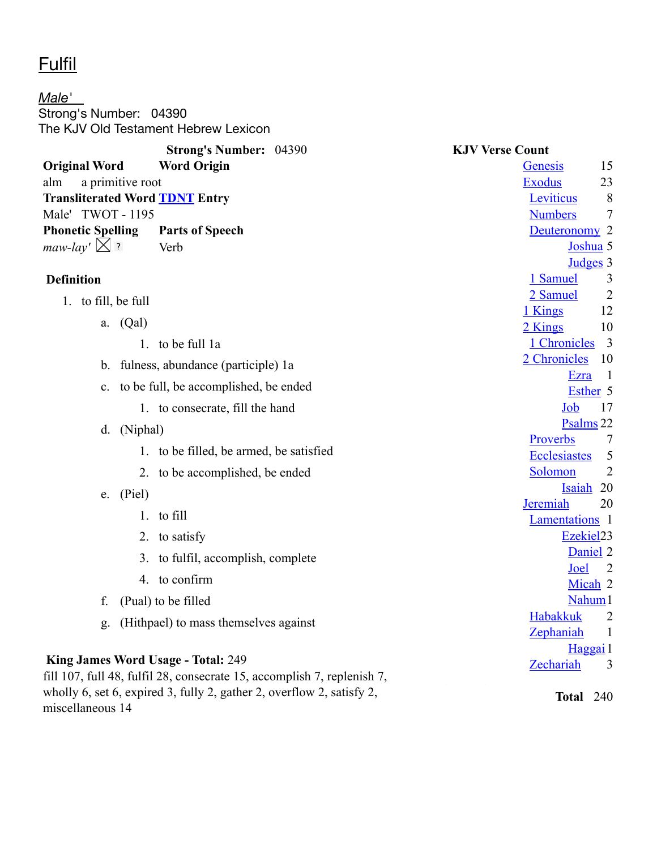# **Fulfil**

miscellaneous 14

*Male'*  Strong's Number: 04390 The KJV Old Testament Hebrew Lexicon

|                                                                                                                                                  | <b>Strong's Number: 04390</b>           | <b>KJV Verse Count</b>                |
|--------------------------------------------------------------------------------------------------------------------------------------------------|-----------------------------------------|---------------------------------------|
| <b>Original Word</b>                                                                                                                             | <b>Word Origin</b>                      | 15<br>Genesis                         |
| a primitive root<br>alm                                                                                                                          |                                         | <b>Exodus</b><br>23                   |
| <b>Transliterated Word TDNT Entry</b>                                                                                                            |                                         | Leviticus<br>8                        |
| Male' TWOT - 1195                                                                                                                                |                                         | <b>Numbers</b><br>7                   |
| <b>Phonetic Spelling</b>                                                                                                                         | <b>Parts of Speech</b>                  | Deuteronomy <sub>2</sub>              |
| maw-lay' $\times$ ?                                                                                                                              | Verb                                    | Joshua 5                              |
| <b>Definition</b>                                                                                                                                |                                         | Judges 3<br>1 Samuel<br>3             |
|                                                                                                                                                  |                                         | 2 Samuel<br>$\overline{2}$            |
| 1. to fill, be full                                                                                                                              |                                         | 12<br>1 Kings                         |
| a. $(Qal)$                                                                                                                                       |                                         | 2 Kings<br>10                         |
|                                                                                                                                                  | 1. to be full 1a                        | 1 Chronicles<br>$\overline{3}$        |
|                                                                                                                                                  | b. fulness, abundance (participle) la   | 2 Chronicles<br>10                    |
| $\mathbf{c}$ .                                                                                                                                   | to be full, be accomplished, be ended   | $\overline{1}$<br>Ezra                |
|                                                                                                                                                  |                                         | Esther <sub>5</sub>                   |
|                                                                                                                                                  | 1. to consecrate, fill the hand         | Job<br>17                             |
| (Niphal)<br>d.                                                                                                                                   |                                         | Psalms <sub>22</sub><br>Proverbs<br>7 |
|                                                                                                                                                  | 1. to be filled, be armed, be satisfied | <b>Ecclesiastes</b><br>5              |
|                                                                                                                                                  | 2. to be accomplished, be ended         | Solomon<br>$\overline{2}$             |
| $e.$ (Piel)                                                                                                                                      |                                         | Isaiah 20                             |
|                                                                                                                                                  | 1. to fill                              | Jeremiah<br>20                        |
|                                                                                                                                                  |                                         | Lamentations 1                        |
|                                                                                                                                                  | 2. to satisfy                           | Ezekiel23<br>Daniel <sub>2</sub>      |
|                                                                                                                                                  | 3. to fulfil, accomplish, complete      | Joel<br>2                             |
|                                                                                                                                                  | 4. to confirm                           | Micah 2                               |
| f.                                                                                                                                               | (Pual) to be filled                     | Nahum <sub>1</sub>                    |
| g.                                                                                                                                               | (Hithpael) to mass themselves against   | <b>Habakkuk</b><br>$\overline{2}$     |
|                                                                                                                                                  |                                         | Zephaniah<br>$\mathbf{1}$             |
|                                                                                                                                                  |                                         | Haggai 1                              |
| King James Word Usage - Total: 249                                                                                                               |                                         | Zechariah<br>3                        |
| fill 107, full 48, fulfil 28, consecrate 15, accomplish 7, replenish 7,<br>wholly 6, set 6, expired 3, fully 2, gather 2, overflow 2, satisfy 2, |                                         | Total $240$                           |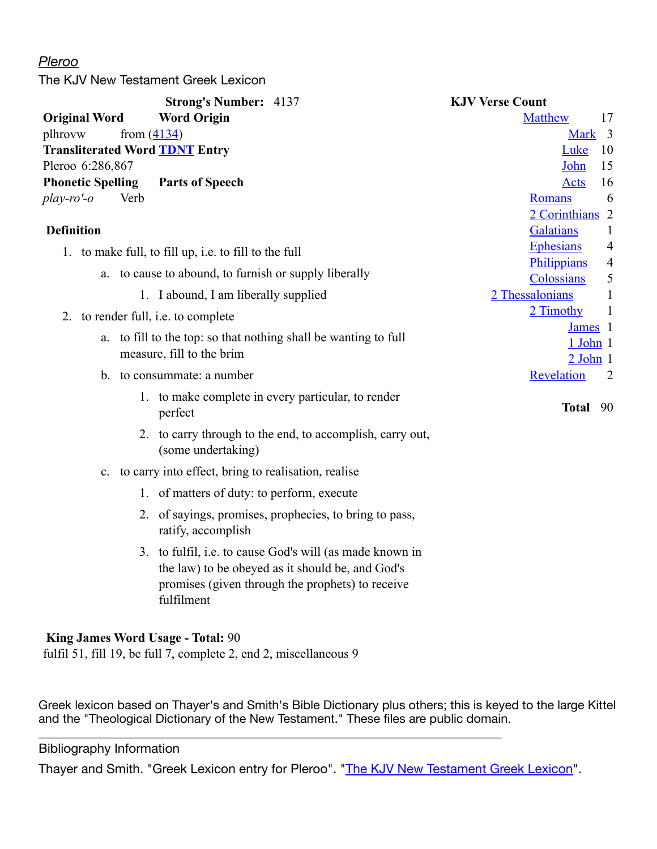#### *Pleroo*

The KJV New Testament Greek Lexicon

|                          | <b>Strong's Number: 4137</b>                                                                                                                                                   | <b>KJV Verse Count</b>                             |
|--------------------------|--------------------------------------------------------------------------------------------------------------------------------------------------------------------------------|----------------------------------------------------|
| <b>Original Word</b>     | <b>Word Origin</b>                                                                                                                                                             | <b>Matthew</b><br>17                               |
| plhrovw                  | from $(4134)$                                                                                                                                                                  | Mark 3                                             |
|                          | <b>Transliterated Word TDNT Entry</b>                                                                                                                                          | Luke<br>10                                         |
| Pleroo 6:286,867         |                                                                                                                                                                                | 15<br>John                                         |
| <b>Phonetic Spelling</b> | <b>Parts of Speech</b>                                                                                                                                                         | 16<br><b>Acts</b>                                  |
| $play-ro' - o$           | Verb                                                                                                                                                                           | 6<br><b>Romans</b>                                 |
|                          |                                                                                                                                                                                | 2 Corinthians 2                                    |
| <b>Definition</b>        |                                                                                                                                                                                | Galatians<br>1                                     |
|                          | 1. to make full, to fill up, i.e. to fill to the full                                                                                                                          | <b>Ephesians</b><br>4                              |
|                          | a. to cause to abound, to furnish or supply liberally                                                                                                                          | Philippians<br>$\overline{4}$                      |
|                          | 1. I abound, I am liberally supplied                                                                                                                                           | Colossians<br>5<br>2 Thessalonians<br>$\mathbf{1}$ |
|                          |                                                                                                                                                                                | 2 Timothy<br>$\mathbf{1}$                          |
|                          | 2. to render full, <i>i.e.</i> to complete                                                                                                                                     | James <sub>1</sub>                                 |
| a.                       | to fill to the top: so that nothing shall be wanting to full                                                                                                                   | $1$ John $1$                                       |
|                          | measure, fill to the brim                                                                                                                                                      | $2$ John $1$                                       |
|                          | b. to consummate: a number                                                                                                                                                     | Revelation<br>$\overline{2}$                       |
|                          | 1. to make complete in every particular, to render<br>perfect                                                                                                                  | Total 90                                           |
|                          | 2. to carry through to the end, to accomplish, carry out,<br>(some undertaking)                                                                                                |                                                    |
| $\mathbf{c}$ .           | to carry into effect, bring to realisation, realise                                                                                                                            |                                                    |
|                          | 1. of matters of duty: to perform, execute                                                                                                                                     |                                                    |
|                          | 2. of sayings, promises, prophecies, to bring to pass,<br>ratify, accomplish                                                                                                   |                                                    |
|                          | 3. to fulfil, i.e. to cause God's will (as made known in<br>the law) to be obeyed as it should be, and God's<br>promises (given through the prophets) to receive<br>fulfilment |                                                    |

#### **King James Word Usage - Total:** 90

fulfil 51, fill 19, be full 7, complete 2, end 2, miscellaneous 9

Greek lexicon based on Thayer's and Smith's Bible Dictionary plus others; this is keyed to the large Kittel and the "Theological Dictionary of the New Testament." These files are public domain.

#### Bibliography Information

Thayer and Smith. "Greek Lexicon entry for Pleroo". ["The KJV New Testament Greek Lexicon](http://www.biblestudytools.com/lexicons/greek/kjv/)".